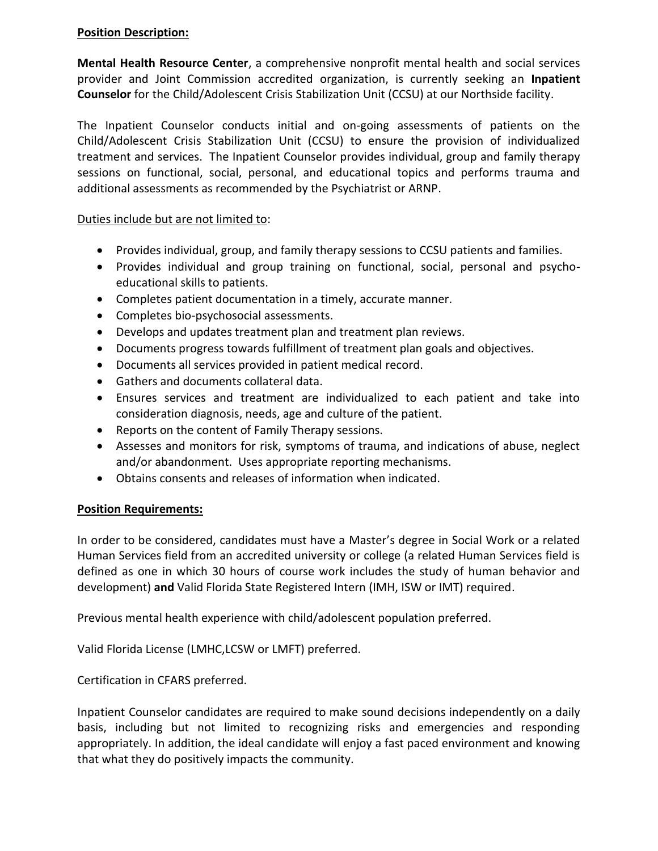## **Position Description:**

**Mental Health Resource Center**, a comprehensive nonprofit mental health and social services provider and Joint Commission accredited organization, is currently seeking an **Inpatient Counselor** for the Child/Adolescent Crisis Stabilization Unit (CCSU) at our Northside facility.

The Inpatient Counselor conducts initial and on-going assessments of patients on the Child/Adolescent Crisis Stabilization Unit (CCSU) to ensure the provision of individualized treatment and services. The Inpatient Counselor provides individual, group and family therapy sessions on functional, social, personal, and educational topics and performs trauma and additional assessments as recommended by the Psychiatrist or ARNP.

Duties include but are not limited to:

- Provides individual, group, and family therapy sessions to CCSU patients and families.
- Provides individual and group training on functional, social, personal and psychoeducational skills to patients.
- Completes patient documentation in a timely, accurate manner.
- Completes bio-psychosocial assessments.
- Develops and updates treatment plan and treatment plan reviews.
- Documents progress towards fulfillment of treatment plan goals and objectives.
- Documents all services provided in patient medical record.
- Gathers and documents collateral data.
- Ensures services and treatment are individualized to each patient and take into consideration diagnosis, needs, age and culture of the patient.
- Reports on the content of Family Therapy sessions.
- Assesses and monitors for risk, symptoms of trauma, and indications of abuse, neglect and/or abandonment. Uses appropriate reporting mechanisms.
- Obtains consents and releases of information when indicated.

## **Position Requirements:**

In order to be considered, candidates must have a Master's degree in Social Work or a related Human Services field from an accredited university or college (a related Human Services field is defined as one in which 30 hours of course work includes the study of human behavior and development) **and** Valid Florida State Registered Intern (IMH, ISW or IMT) required.

Previous mental health experience with child/adolescent population preferred.

Valid Florida License (LMHC,LCSW or LMFT) preferred.

Certification in CFARS preferred.

Inpatient Counselor candidates are required to make sound decisions independently on a daily basis, including but not limited to recognizing risks and emergencies and responding appropriately. In addition, the ideal candidate will enjoy a fast paced environment and knowing that what they do positively impacts the community.